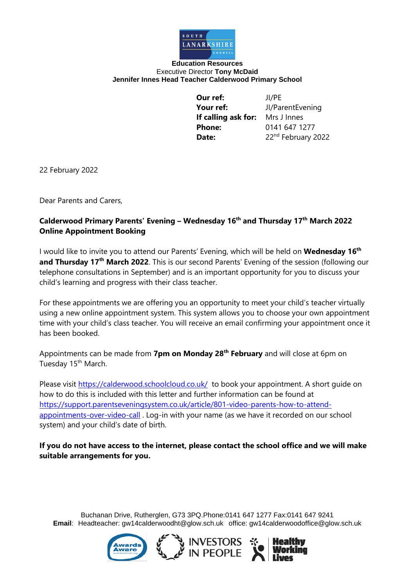

## **Education Resources** Executive Director **Tony McDaid Jennifer Innes Head Teacher Calderwood Primary School**

**Our ref:** JI/PE **Your ref:** JI/ParentEvening **If calling ask for:** Mrs J Innes **Phone:** 0141 647 1277 Date: 22<sup>nd</sup> February 2022

22 February 2022

Dear Parents and Carers,

## **Calderwood Primary Parents' Evening – Wednesday 16th and Thursday 17th March 2022 Online Appointment Booking**

I would like to invite you to attend our Parents' Evening, which will be held on **Wednesday 16th and Thursday 17th March 2022**. This is our second Parents' Evening of the session (following our telephone consultations in September) and is an important opportunity for you to discuss your child's learning and progress with their class teacher.

For these appointments we are offering you an opportunity to meet your child's teacher virtually using a new online appointment system. This system allows you to choose your own appointment time with your child's class teacher. You will receive an email confirming your appointment once it has been booked.

Appointments can be made from **7pm on Monday 28th February** and will close at 6pm on Tuesday 15<sup>th</sup> March.

Please visit<https://calderwood.schoolcloud.co.uk/> to book your appointment. A short quide on how to do this is included with this letter and further information can be found at [https://support.parentseveningsystem.co.uk/article/801-video-parents-how-to-attend](https://support.parentseveningsystem.co.uk/article/801-video-parents-how-to-attend-appointments-over-video-call)[appointments-over-video-call](https://support.parentseveningsystem.co.uk/article/801-video-parents-how-to-attend-appointments-over-video-call). Log-in with your name (as we have it recorded on our school system) and your child's date of birth.

**If you do not have access to the internet, please contact the school office and we will make suitable arrangements for you.**

Buchanan Drive, Rutherglen, G73 3PQ.Phone:0141 647 1277 Fax:0141 647 9241 **Email**: Headteacher: gw14calderwoodht@glow.sch.uk office: gw14calderwoodoffice@glow.sch.uk